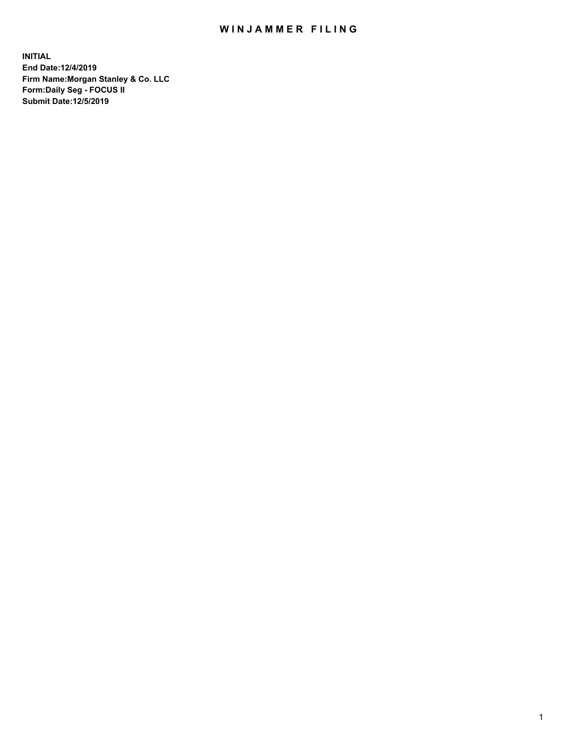## WIN JAMMER FILING

**INITIAL End Date:12/4/2019 Firm Name:Morgan Stanley & Co. LLC Form:Daily Seg - FOCUS II Submit Date:12/5/2019**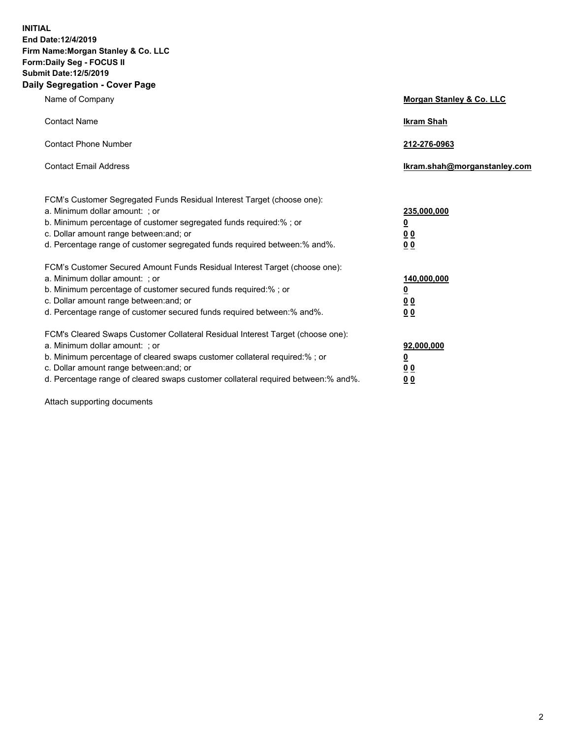**INITIAL End Date:12/4/2019 Firm Name:Morgan Stanley & Co. LLC Form:Daily Seg - FOCUS II Submit Date:12/5/2019 Daily Segregation - Cover Page**

| Name of Company                                                                                                                                                                                                                                                                                                                | Morgan Stanley & Co. LLC                               |
|--------------------------------------------------------------------------------------------------------------------------------------------------------------------------------------------------------------------------------------------------------------------------------------------------------------------------------|--------------------------------------------------------|
| <b>Contact Name</b>                                                                                                                                                                                                                                                                                                            | <b>Ikram Shah</b>                                      |
| <b>Contact Phone Number</b>                                                                                                                                                                                                                                                                                                    | 212-276-0963                                           |
| <b>Contact Email Address</b>                                                                                                                                                                                                                                                                                                   | lkram.shah@morganstanley.com                           |
| FCM's Customer Segregated Funds Residual Interest Target (choose one):<br>a. Minimum dollar amount: ; or<br>b. Minimum percentage of customer segregated funds required:% ; or<br>c. Dollar amount range between: and; or<br>d. Percentage range of customer segregated funds required between:% and%.                         | 235,000,000<br><u>0</u><br><u>0 0</u><br>0 Q           |
| FCM's Customer Secured Amount Funds Residual Interest Target (choose one):<br>a. Minimum dollar amount: ; or<br>b. Minimum percentage of customer secured funds required:%; or<br>c. Dollar amount range between: and; or<br>d. Percentage range of customer secured funds required between:% and%.                            | 140,000,000<br><u>0</u><br><u>00</u><br>0 <sub>0</sub> |
| FCM's Cleared Swaps Customer Collateral Residual Interest Target (choose one):<br>a. Minimum dollar amount: ; or<br>b. Minimum percentage of cleared swaps customer collateral required:% ; or<br>c. Dollar amount range between: and; or<br>d. Percentage range of cleared swaps customer collateral required between:% and%. | 92,000,000<br><u>0</u><br><u>00</u><br>0 <sup>0</sup>  |

Attach supporting documents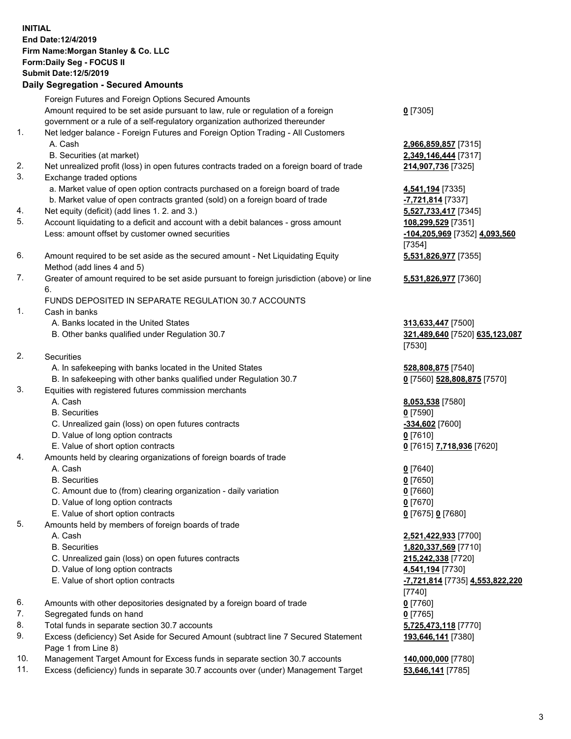## **INITIAL End Date:12/4/2019 Firm Name:Morgan Stanley & Co. LLC Form:Daily Seg - FOCUS II Submit Date:12/5/2019 Daily Segregation - Secured Amounts**

Foreign Futures and Foreign Options Secured Amounts Amount required to be set aside pursuant to law, rule or regulation of a foreign government or a rule of a self-regulatory organization authorized thereunder 1. Net ledger balance - Foreign Futures and Foreign Option Trading - All Customers A. Cash **2,966,859,857** [7315] B. Securities (at market) **2,349,146,444** [7317] 2. Net unrealized profit (loss) in open futures contracts traded on a foreign board of trade **214,907,736** [7325] 3. Exchange traded options a. Market value of open option contracts purchased on a foreign board of trade **4,541,194** [7335] b. Market value of open contracts granted (sold) on a foreign board of trade **-7,721,814** [7337] 4. Net equity (deficit) (add lines 1. 2. and 3.) **5,527,733,417** [7345] 5. Account liquidating to a deficit and account with a debit balances - gross amount **108,299,529** [7351] Less: amount offset by customer owned securities **-104,205,969** [7352] **4,093,560** 6. Amount required to be set aside as the secured amount - Net Liquidating Equity Method (add lines 4 and 5) 7. Greater of amount required to be set aside pursuant to foreign jurisdiction (above) or line 6. FUNDS DEPOSITED IN SEPARATE REGULATION 30.7 ACCOUNTS 1. Cash in banks A. Banks located in the United States **313,633,447** [7500] B. Other banks qualified under Regulation 30.7 **321,489,640** [7520] **635,123,087** 2. Securities A. In safekeeping with banks located in the United States **528,808,875** [7540] B. In safekeeping with other banks qualified under Regulation 30.7 **0** [7560] **528,808,875** [7570] 3. Equities with registered futures commission merchants A. Cash **8,053,538** [7580] B. Securities **0** [7590] C. Unrealized gain (loss) on open futures contracts **-334,602** [7600] D. Value of long option contracts **0** [7610] E. Value of short option contracts **0** [7615] **7,718,936** [7620] 4. Amounts held by clearing organizations of foreign boards of trade A. Cash **0** [7640] B. Securities **0** [7650] C. Amount due to (from) clearing organization - daily variation **0** [7660] D. Value of long option contracts **0** [7670] E. Value of short option contracts **0** [7675] **0** [7680] 5. Amounts held by members of foreign boards of trade A. Cash **2,521,422,933** [7700] B. Securities **1,820,337,569** [7710] C. Unrealized gain (loss) on open futures contracts **215,242,338** [7720] D. Value of long option contracts **4,541,194** [7730] E. Value of short option contracts **-7,721,814** [7735] **4,553,822,220**

- 6. Amounts with other depositories designated by a foreign board of trade **0** [7760]
- 7. Segregated funds on hand **0** [7765]
- 8. Total funds in separate section 30.7 accounts **5,725,473,118** [7770]
- 9. Excess (deficiency) Set Aside for Secured Amount (subtract line 7 Secured Statement Page 1 from Line 8)
- 10. Management Target Amount for Excess funds in separate section 30.7 accounts **140,000,000** [7780]
- 11. Excess (deficiency) funds in separate 30.7 accounts over (under) Management Target **53,646,141** [7785]

**0** [7305]

[7354] **5,531,826,977** [7355]

**5,531,826,977** [7360]

[7530]

[7740] **193,646,141** [7380]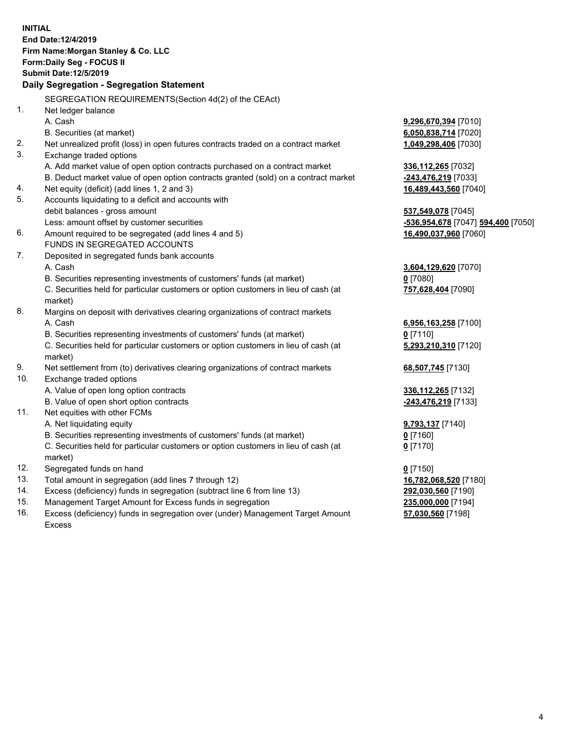**INITIAL End Date:12/4/2019 Firm Name:Morgan Stanley & Co. LLC Form:Daily Seg - FOCUS II Submit Date:12/5/2019 Daily Segregation - Segregation Statement** SEGREGATION REQUIREMENTS(Section 4d(2) of the CEAct) 1. Net ledger balance A. Cash **9,296,670,394** [7010] B. Securities (at market) **6,050,838,714** [7020] 2. Net unrealized profit (loss) in open futures contracts traded on a contract market **1,049,298,406** [7030] 3. Exchange traded options A. Add market value of open option contracts purchased on a contract market **336,112,265** [7032] B. Deduct market value of open option contracts granted (sold) on a contract market **-243,476,219** [7033] 4. Net equity (deficit) (add lines 1, 2 and 3) **16,489,443,560** [7040] 5. Accounts liquidating to a deficit and accounts with debit balances - gross amount **537,549,078** [7045] Less: amount offset by customer securities **-536,954,678** [7047] **594,400** [7050] 6. Amount required to be segregated (add lines 4 and 5) **16,490,037,960** [7060] FUNDS IN SEGREGATED ACCOUNTS 7. Deposited in segregated funds bank accounts A. Cash **3,604,129,620** [7070] B. Securities representing investments of customers' funds (at market) **0** [7080] C. Securities held for particular customers or option customers in lieu of cash (at market) **757,628,404** [7090] 8. Margins on deposit with derivatives clearing organizations of contract markets A. Cash **6,956,163,258** [7100] B. Securities representing investments of customers' funds (at market) **0** [7110] C. Securities held for particular customers or option customers in lieu of cash (at market) **5,293,210,310** [7120] 9. Net settlement from (to) derivatives clearing organizations of contract markets **68,507,745** [7130] 10. Exchange traded options A. Value of open long option contracts **336,112,265** [7132] B. Value of open short option contracts **-243,476,219** [7133] 11. Net equities with other FCMs A. Net liquidating equity **9,793,137** [7140] B. Securities representing investments of customers' funds (at market) **0** [7160] C. Securities held for particular customers or option customers in lieu of cash (at market) **0** [7170] 12. Segregated funds on hand **0** [7150] 13. Total amount in segregation (add lines 7 through 12) **16,782,068,520** [7180] 14. Excess (deficiency) funds in segregation (subtract line 6 from line 13) **292,030,560** [7190] 15. Management Target Amount for Excess funds in segregation **235,000,000** [7194] 16. Excess (deficiency) funds in segregation over (under) Management Target Amount **57,030,560** [7198]

Excess